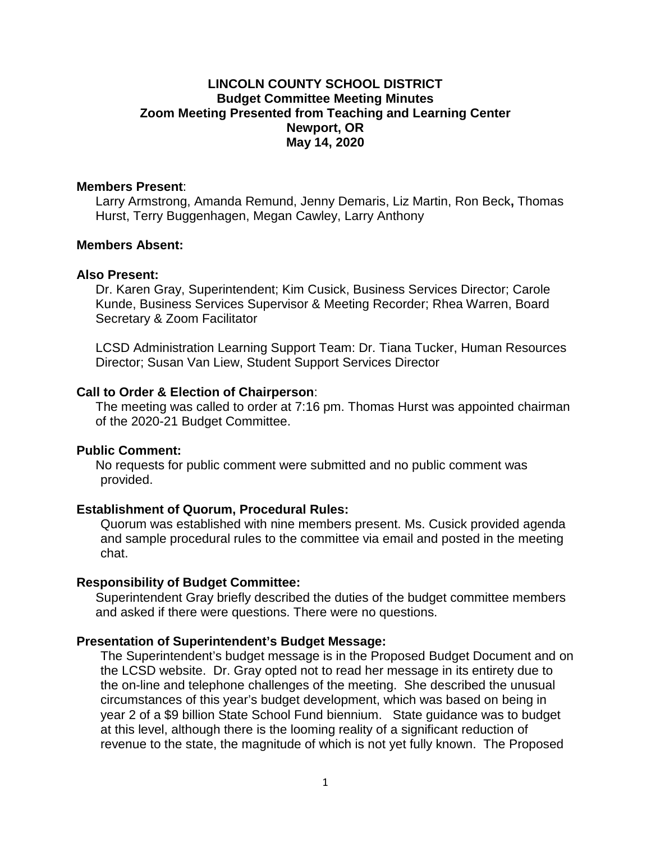# **LINCOLN COUNTY SCHOOL DISTRICT Budget Committee Meeting Minutes Zoom Meeting Presented from Teaching and Learning Center Newport, OR May 14, 2020**

### **Members Present:**

 **Members Present**: Larry Armstrong, Amanda Remund, Jenny Demaris, Liz Martin, Ron Beck**,** Thomas Hurst, Terry Buggenhagen, Megan Cawley, Larry Anthony

# **Members Absent: Also Present:**

#### **Also Present:**

 Dr. Karen Gray, Superintendent; Kim Cusick, Business Services Director; Carole Secretary & Zoom Facilitator Kunde, Business Services Supervisor & Meeting Recorder; Rhea Warren, Board

LCSD Administration Learning Support Team: Dr. Tiana Tucker, Human Resources Director; Susan Van Liew, Student Support Services Director

## Call to Order & Election of Chairperson:

 **Call to Order & Election of Chairperson**: The meeting was called to order at 7:16 pm. Thomas Hurst was appointed chairman of the 2020-21 Budget Committee.

## **Public Comment:**

No requests for public comment were submitted and no public comment was provided.

## **Establishment of Quorum, Procedural Rules:**

 Quorum was established with nine members present. Ms. Cusick provided agenda and sample procedural rules to the committee via email and posted in the meeting chat.

# **Responsibility of Budget Committee:**

Superintendent Gray briefly described the duties of the budget committee members and asked if there were questions. There were no questions.

#### **Presentation of Superintendent's Budget Message:**

 The Superintendent's budget message is in the Proposed Budget Document and on year 2 of a \$9 billion State School Fund biennium. State guidance was to budget the LCSD website. Dr. Gray opted not to read her message in its entirety due to the on-line and telephone challenges of the meeting. She described the unusual circumstances of this year's budget development, which was based on being in at this level, although there is the looming reality of a significant reduction of revenue to the state, the magnitude of which is not yet fully known. The Proposed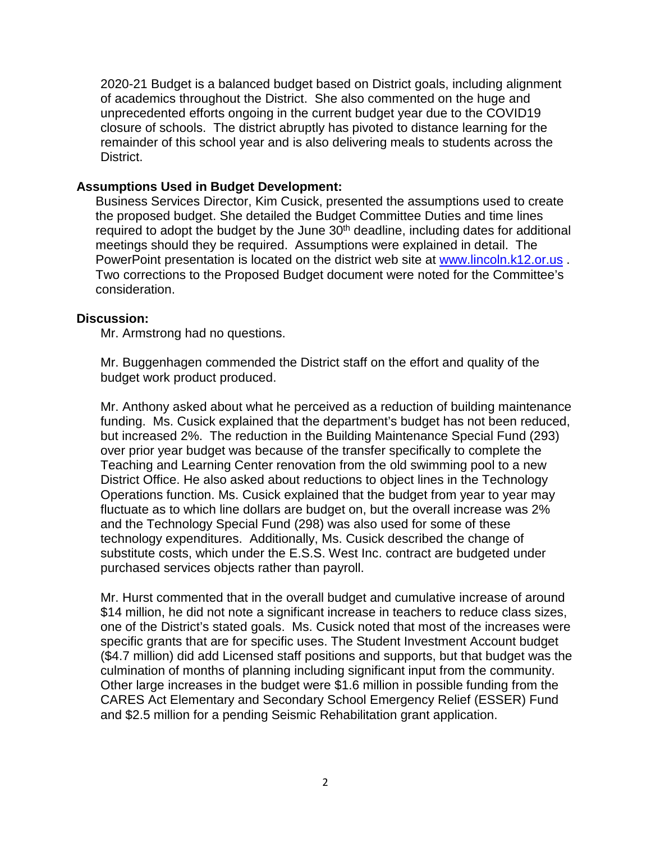of academics throughout the District. She also commented on the huge and closure of schools. The district abruptly has pivoted to distance learning for the 2020-21 Budget is a balanced budget based on District goals, including alignment unprecedented efforts ongoing in the current budget year due to the COVID19 remainder of this school year and is also delivering meals to students across the District.

# **Assumptions Used in Budget Development:**

 the proposed budget. She detailed the Budget Committee Duties and time lines required to adopt the budget by the June 30<sup>th</sup> deadline, including dates for additional meetings should they be required. Assumptions were explained in detail. The Business Services Director, Kim Cusick, presented the assumptions used to create PowerPoint presentation is located on the district web site at [www.lincoln.k12.or.us](http://www.lincoln.k12.or.us/) . Two corrections to the Proposed Budget document were noted for the Committee's consideration.

## **Discussion:**

Mr. Armstrong had no questions.

Mr. Buggenhagen commended the District staff on the effort and quality of the budget work product produced.

 funding. Ms. Cusick explained that the department's budget has not been reduced, but increased 2%. The reduction in the Building Maintenance Special Fund (293) Mr. Anthony asked about what he perceived as a reduction of building maintenance over prior year budget was because of the transfer specifically to complete the Teaching and Learning Center renovation from the old swimming pool to a new District Office. He also asked about reductions to object lines in the Technology Operations function. Ms. Cusick explained that the budget from year to year may fluctuate as to which line dollars are budget on, but the overall increase was 2% and the Technology Special Fund (298) was also used for some of these technology expenditures. Additionally, Ms. Cusick described the change of substitute costs, which under the E.S.S. West Inc. contract are budgeted under purchased services objects rather than payroll.

 \$14 million, he did not note a significant increase in teachers to reduce class sizes, one of the District's stated goals. Ms. Cusick noted that most of the increases were specific grants that are for specific uses. The Student Investment Account budget (\$4.7 million) did add Licensed staff positions and supports, but that budget was the culmination of months of planning including significant input from the community. Other large increases in the budget were \$1.6 million in possible funding from the and \$2.5 million for a pending Seismic Rehabilitation grant application. Mr. Hurst commented that in the overall budget and cumulative increase of around CARES Act Elementary and Secondary School Emergency Relief (ESSER) Fund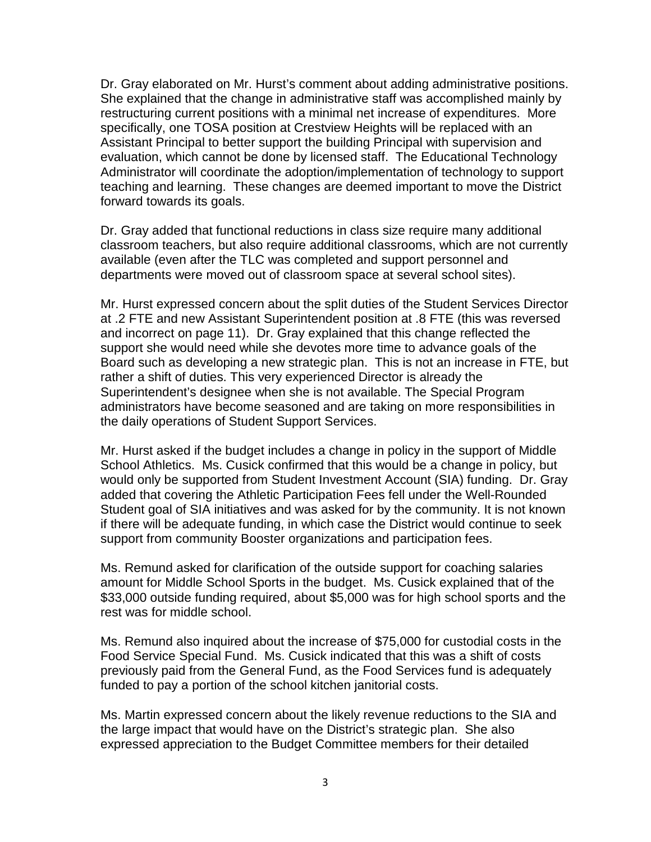Dr. Gray elaborated on Mr. Hurst's comment about adding administrative positions. evaluation, which cannot be done by licensed staff. The Educational Technology forward towards its goals. She explained that the change in administrative staff was accomplished mainly by restructuring current positions with a minimal net increase of expenditures. More specifically, one TOSA position at Crestview Heights will be replaced with an Assistant Principal to better support the building Principal with supervision and Administrator will coordinate the adoption/implementation of technology to support teaching and learning. These changes are deemed important to move the District

Dr. Gray added that functional reductions in class size require many additional classroom teachers, but also require additional classrooms, which are not currently available (even after the TLC was completed and support personnel and departments were moved out of classroom space at several school sites).

 Mr. Hurst expressed concern about the split duties of the Student Services Director at .2 FTE and new Assistant Superintendent position at .8 FTE (this was reversed and incorrect on page 11). Dr. Gray explained that this change reflected the Board such as developing a new strategic plan. This is not an increase in FTE, but rather a shift of duties. This very experienced Director is already the the daily operations of Student Support Services. support she would need while she devotes more time to advance goals of the Superintendent's designee when she is not available. The Special Program administrators have become seasoned and are taking on more responsibilities in

Mr. Hurst asked if the budget includes a change in policy in the support of Middle School Athletics. Ms. Cusick confirmed that this would be a change in policy, but would only be supported from Student Investment Account (SIA) funding. Dr. Gray added that covering the Athletic Participation Fees fell under the Well-Rounded Student goal of SIA initiatives and was asked for by the community. It is not known if there will be adequate funding, in which case the District would continue to seek support from community Booster organizations and participation fees.

 amount for Middle School Sports in the budget. Ms. Cusick explained that of the Ms. Remund asked for clarification of the outside support for coaching salaries \$33,000 outside funding required, about \$5,000 was for high school sports and the rest was for middle school.

 Ms. Remund also inquired about the increase of \$75,000 for custodial costs in the Food Service Special Fund. Ms. Cusick indicated that this was a shift of costs previously paid from the General Fund, as the Food Services fund is adequately funded to pay a portion of the school kitchen janitorial costs.

Ms. Martin expressed concern about the likely revenue reductions to the SIA and the large impact that would have on the District's strategic plan. She also expressed appreciation to the Budget Committee members for their detailed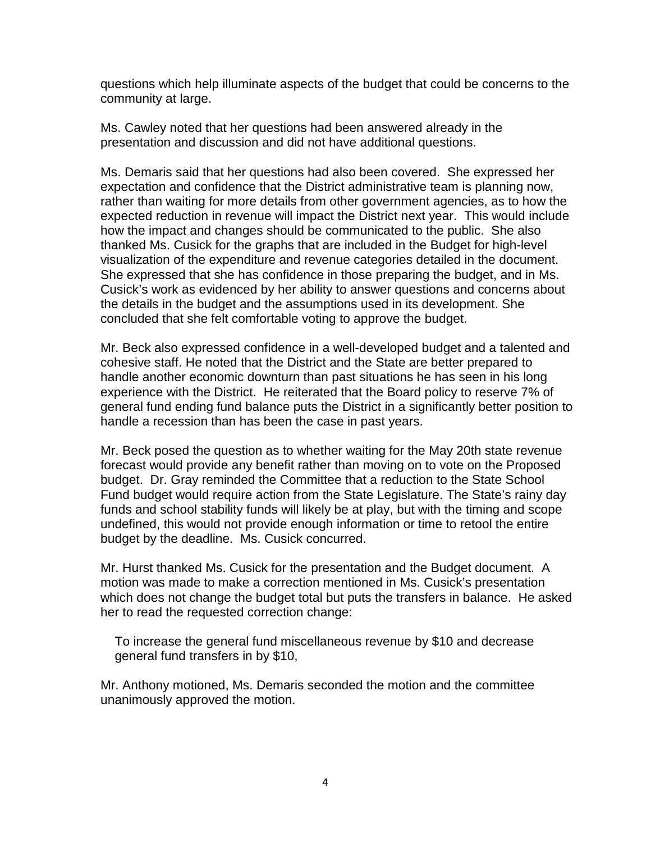questions which help illuminate aspects of the budget that could be concerns to the community at large.

Ms. Cawley noted that her questions had been answered already in the presentation and discussion and did not have additional questions.

visualization of the expenditure and revenue categories detailed in the document. Cusick's work as evidenced by her ability to answer questions and concerns about concluded that she felt comfortable voting to approve the budget. Ms. Demaris said that her questions had also been covered. She expressed her expectation and confidence that the District administrative team is planning now, rather than waiting for more details from other government agencies, as to how the expected reduction in revenue will impact the District next year. This would include how the impact and changes should be communicated to the public. She also thanked Ms. Cusick for the graphs that are included in the Budget for high-level She expressed that she has confidence in those preparing the budget, and in Ms. the details in the budget and the assumptions used in its development. She

concluded that she felt comfortable voting to approve the budget.<br>Mr. Beck also expressed confidence in a well-developed budget and a talented and cohesive staff. He noted that the District and the State are better prepared to handle another economic downturn than past situations he has seen in his long experience with the District. He reiterated that the Board policy to reserve 7% of general fund ending fund balance puts the District in a significantly better position to handle a recession than has been the case in past years.

 Fund budget would require action from the State Legislature. The State's rainy day Mr. Beck posed the question as to whether waiting for the May 20th state revenue forecast would provide any benefit rather than moving on to vote on the Proposed budget. Dr. Gray reminded the Committee that a reduction to the State School funds and school stability funds will likely be at play, but with the timing and scope undefined, this would not provide enough information or time to retool the entire budget by the deadline. Ms. Cusick concurred.

 Mr. Hurst thanked Ms. Cusick for the presentation and the Budget document. A her to read the requested correction change: motion was made to make a correction mentioned in Ms. Cusick's presentation which does not change the budget total but puts the transfers in balance. He asked

To increase the general fund miscellaneous revenue by \$10 and decrease general fund transfers in by \$10,

Mr. Anthony motioned, Ms. Demaris seconded the motion and the committee unanimously approved the motion.